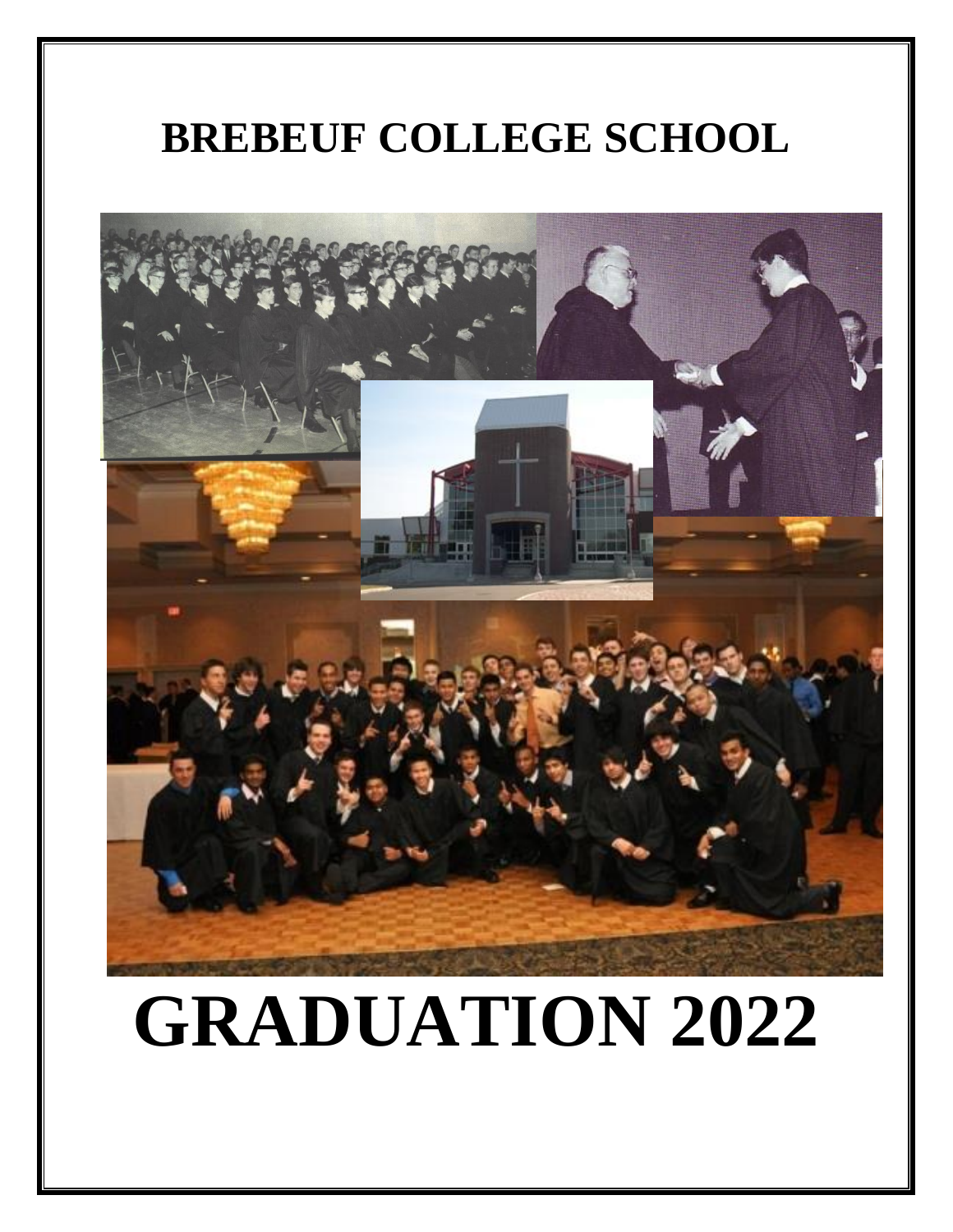## **BREBEUF COLLEGE SCHOOL**



# **GRADUATION 2022**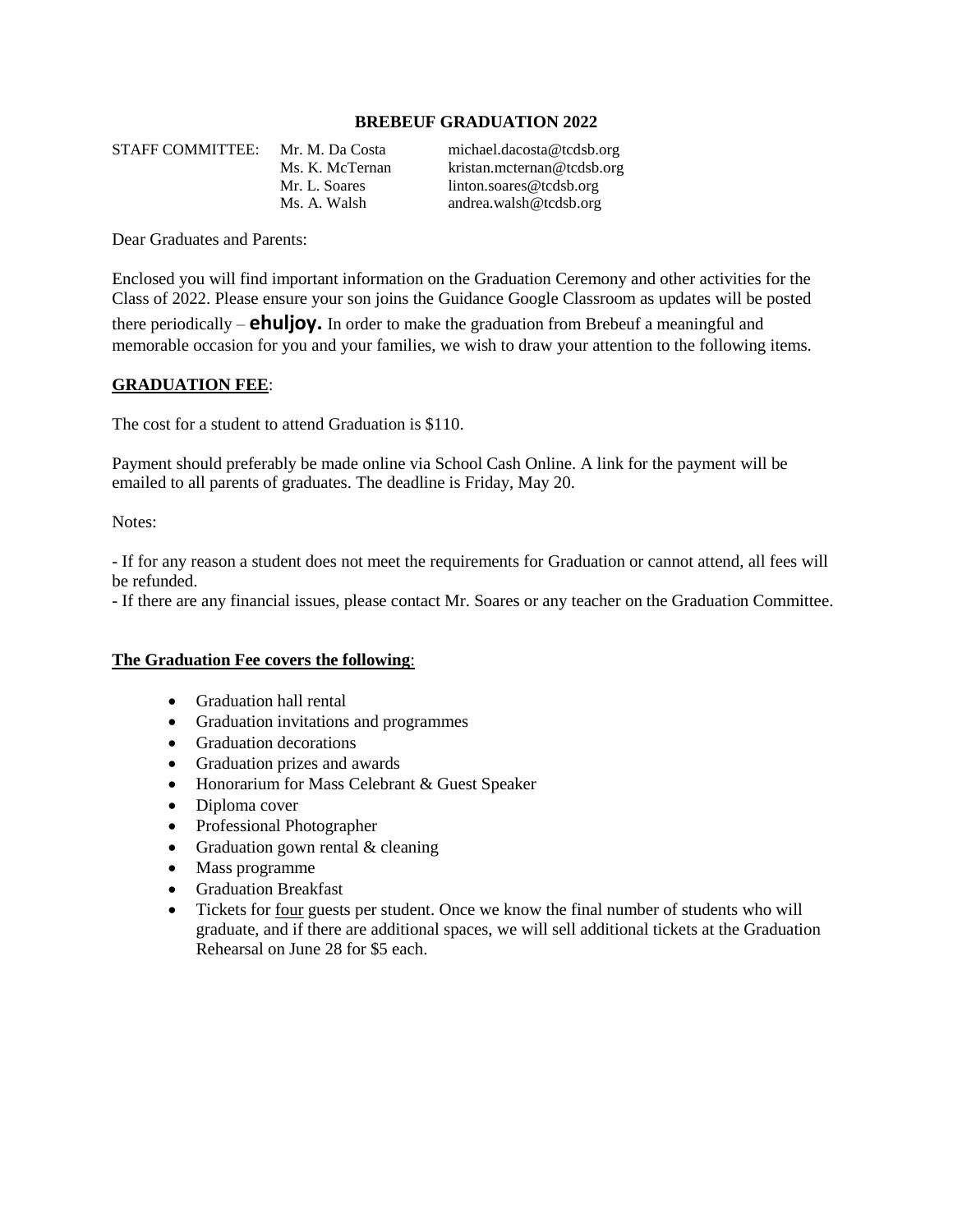#### **BREBEUF GRADUATION 2022**

STAFF COMMITTEE: Mr. M. Da Costa [michael.dacosta@tcdsb.org](mailto:michael.dacosta@tcdsb.org) Ms. K. McTernan [kristan.mcternan@tcdsb.org](mailto:kristan.mcternan@tcdsb.org) Mr. L. Soares [linton.soares@tcdsb.org](mailto:linton.soares@tcdsb.org) Ms. A. Walsh andrea.walsh@tcdsb.org

Dear Graduates and Parents:

Enclosed you will find important information on the Graduation Ceremony and other activities for the Class of 2022. Please ensure your son joins the Guidance Google Classroom as updates will be posted there periodically – **ehuljoy.** In order to make the graduation from Brebeuf a meaningful and memorable occasion for you and your families, we wish to draw your attention to the following items.

#### **GRADUATION FEE**:

The cost for a student to attend Graduation is \$110.

Payment should preferably be made online via School Cash Online. A link for the payment will be emailed to all parents of graduates. The deadline is Friday, May 20.

Notes:

- If for any reason a student does not meet the requirements for Graduation or cannot attend, all fees will be refunded.

- If there are any financial issues, please contact Mr. Soares or any teacher on the Graduation Committee.

#### **The Graduation Fee covers the following**:

- Graduation hall rental
- Graduation invitations and programmes
- Graduation decorations
- Graduation prizes and awards
- Honorarium for Mass Celebrant & Guest Speaker
- Diploma cover
- Professional Photographer
- Graduation gown rental & cleaning
- Mass programme
- Graduation Breakfast
- Tickets for four guests per student. Once we know the final number of students who will graduate, and if there are additional spaces, we will sell additional tickets at the Graduation Rehearsal on June 28 for \$5 each.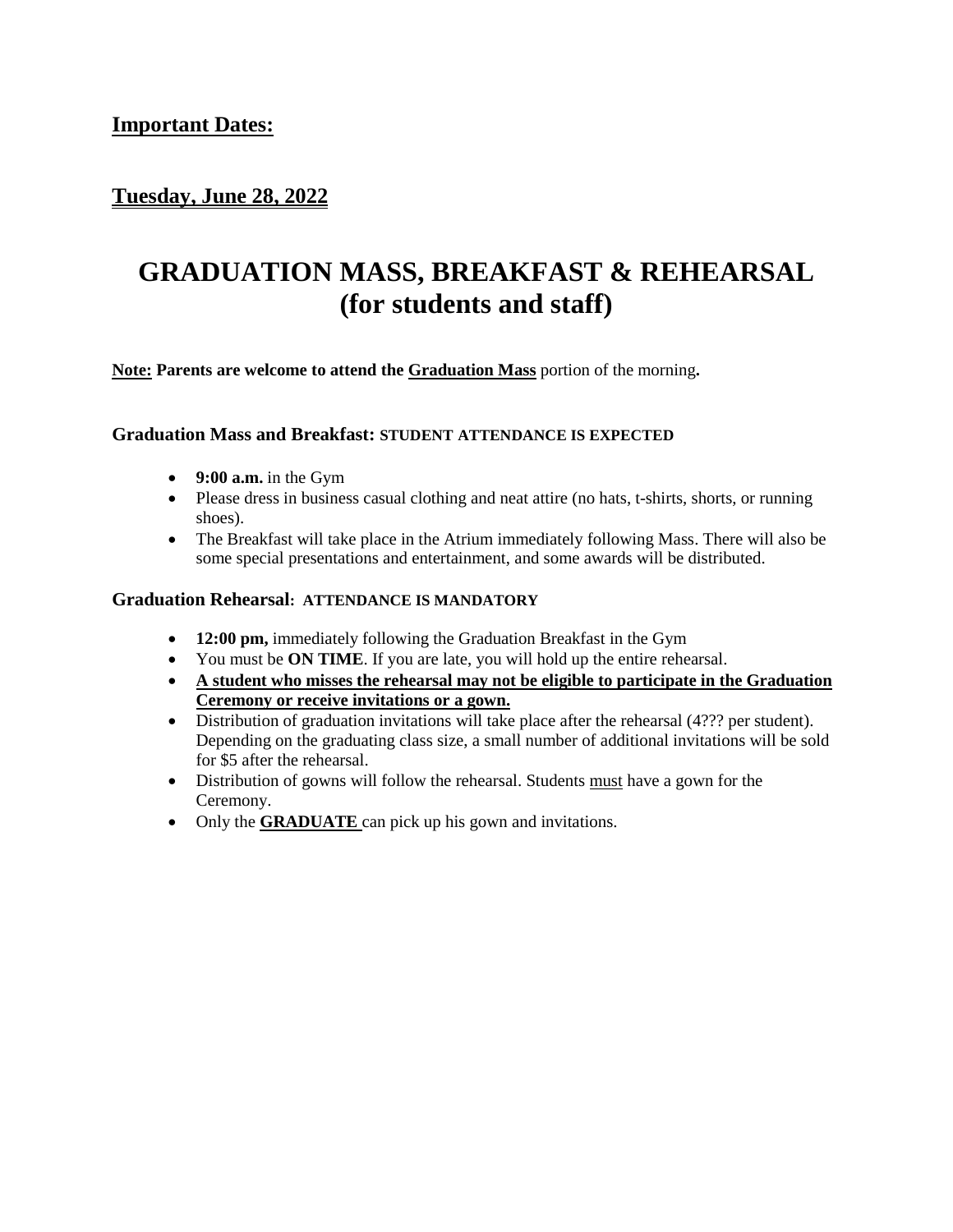#### **Tuesday, June 28, 2022**

## **GRADUATION MASS, BREAKFAST & REHEARSAL (for students and staff)**

**Note: Parents are welcome to attend the Graduation Mass** portion of the morning**.**

#### **Graduation Mass and Breakfast: STUDENT ATTENDANCE IS EXPECTED**

- **9:00 a.m.** in the Gym
- Please dress in business casual clothing and neat attire (no hats, t-shirts, shorts, or running shoes).
- The Breakfast will take place in the Atrium immediately following Mass. There will also be some special presentations and entertainment, and some awards will be distributed.

#### **Graduation Rehearsal: ATTENDANCE IS MANDATORY**

- **12:00 pm,** immediately following the Graduation Breakfast in the Gym
- You must be **ON TIME**. If you are late, you will hold up the entire rehearsal.
- **A student who misses the rehearsal may not be eligible to participate in the Graduation Ceremony or receive invitations or a gown.**
- Distribution of graduation invitations will take place after the rehearsal (4??? per student). Depending on the graduating class size, a small number of additional invitations will be sold for \$5 after the rehearsal.
- Distribution of gowns will follow the rehearsal. Students must have a gown for the Ceremony.
- Only the **GRADUATE** can pick up his gown and invitations.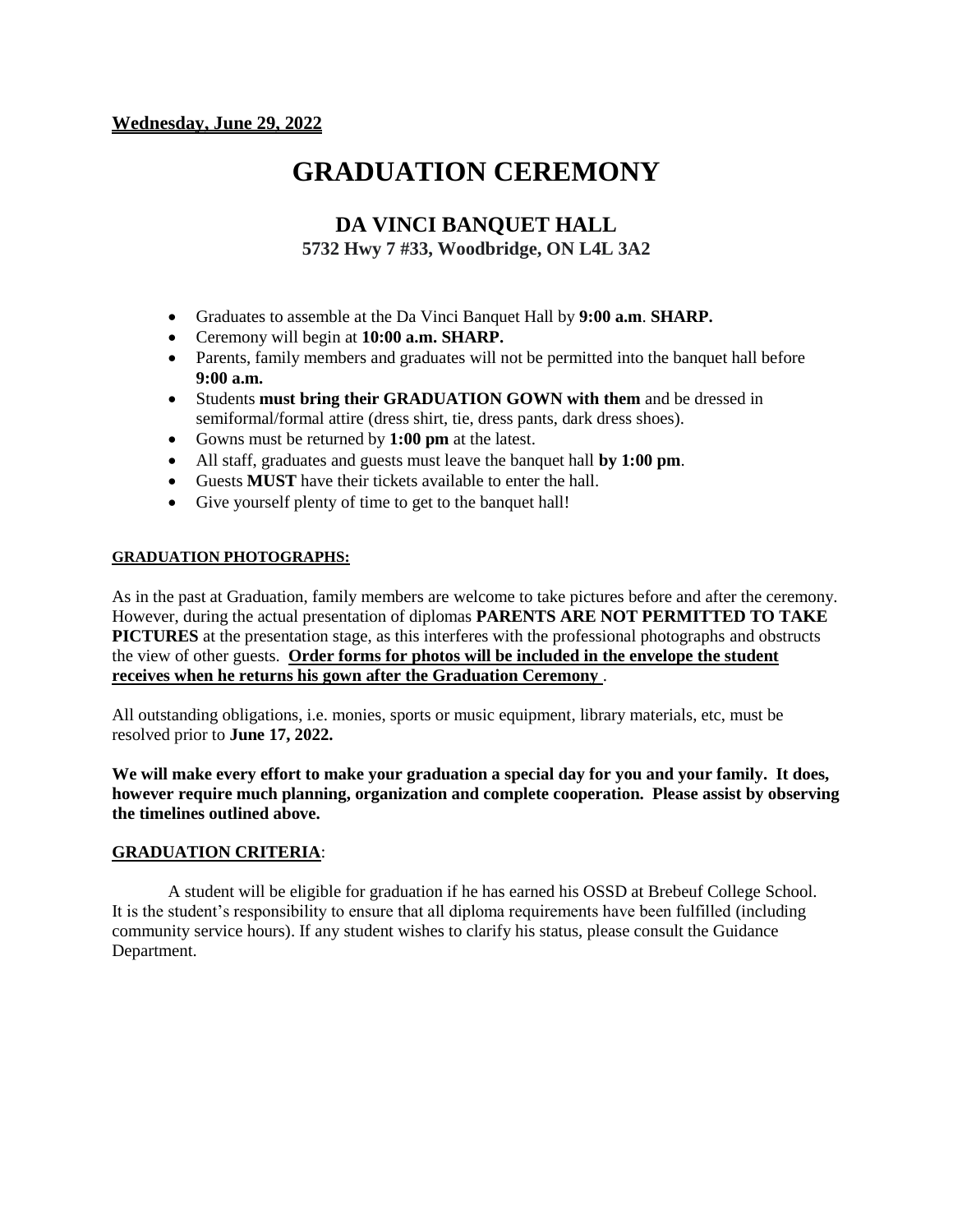## **GRADUATION CEREMONY**

#### **DA VINCI BANQUET HALL 5732 Hwy 7 #33, Woodbridge, ON L4L 3A2**

- Graduates to assemble at the Da Vinci Banquet Hall by **9:00 a.m**. **SHARP.**
- Ceremony will begin at **10:00 a.m. SHARP.**
- Parents, family members and graduates will not be permitted into the banquet hall before **9:00 a.m.**
- Students **must bring their GRADUATION GOWN with them** and be dressed in semiformal/formal attire (dress shirt, tie, dress pants, dark dress shoes).
- Gowns must be returned by **1:00 pm** at the latest.
- All staff, graduates and guests must leave the banquet hall **by 1:00 pm**.
- Guests **MUST** have their tickets available to enter the hall.
- Give yourself plenty of time to get to the banquet hall!

#### **GRADUATION PHOTOGRAPHS:**

As in the past at Graduation, family members are welcome to take pictures before and after the ceremony. However, during the actual presentation of diplomas **PARENTS ARE NOT PERMITTED TO TAKE PICTURES** at the presentation stage, as this interferes with the professional photographs and obstructs the view of other guests. **Order forms for photos will be included in the envelope the student receives when he returns his gown after the Graduation Ceremony** .

All outstanding obligations, i.e. monies, sports or music equipment, library materials, etc, must be resolved prior to **June 17, 2022.**

**We will make every effort to make your graduation a special day for you and your family. It does, however require much planning, organization and complete cooperation. Please assist by observing the timelines outlined above.**

#### **GRADUATION CRITERIA**:

A student will be eligible for graduation if he has earned his OSSD at Brebeuf College School. It is the student's responsibility to ensure that all diploma requirements have been fulfilled (including community service hours). If any student wishes to clarify his status, please consult the Guidance Department.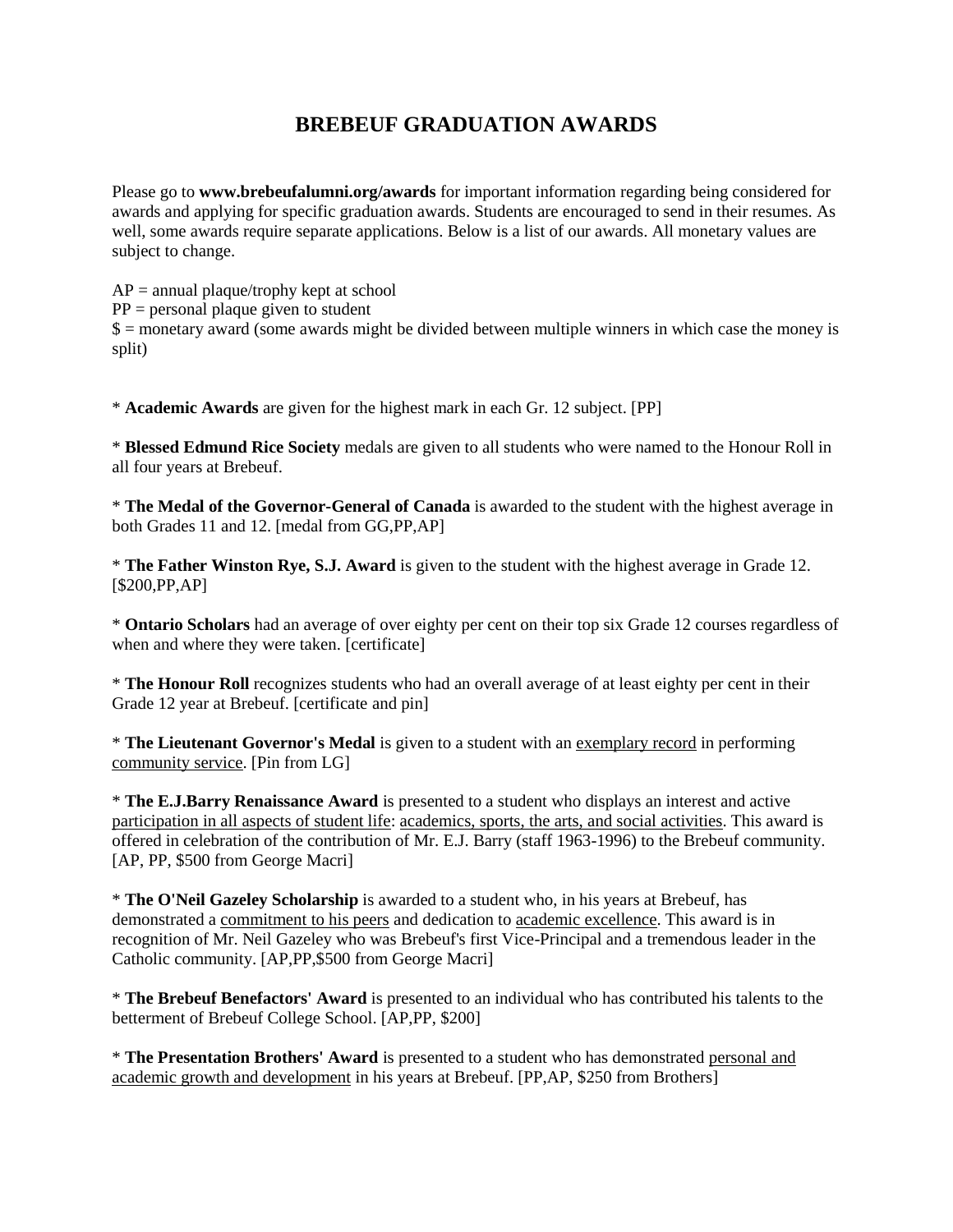#### **BREBEUF GRADUATION AWARDS**

Please go to **[www.brebeufalumni.org/](http://www.brebeufalumni.org/)awards** for important information regarding being considered for awards and applying for specific graduation awards. Students are encouraged to send in their resumes. As well, some awards require separate applications. Below is a list of our awards. All monetary values are subject to change.

 $AP =$  annual plaque/trophy kept at school  $PP = personal$  plaque given to student  $$ =$  monetary award (some awards might be divided between multiple winners in which case the money is split)

\* **Academic Awards** are given for the highest mark in each Gr. 12 subject. [PP]

\* **Blessed Edmund Rice Society** medals are given to all students who were named to the Honour Roll in all four years at Brebeuf.

\* **The Medal of the Governor-General of Canada** is awarded to the student with the highest average in both Grades 11 and 12. [medal from GG,PP,AP]

\* **The Father Winston Rye, S.J. Award** is given to the student with the highest average in Grade 12. [\$200,PP,AP]

\* **Ontario Scholars** had an average of over eighty per cent on their top six Grade 12 courses regardless of when and where they were taken. [certificate]

\* **The Honour Roll** recognizes students who had an overall average of at least eighty per cent in their Grade 12 year at Brebeuf. [certificate and pin]

\* **The Lieutenant Governor's Medal** is given to a student with an exemplary record in performing community service. [Pin from LG]

\* **The E.J.Barry Renaissance Award** is presented to a student who displays an interest and active participation in all aspects of student life: academics, sports, the arts, and social activities. This award is offered in celebration of the contribution of Mr. E.J. Barry (staff 1963-1996) to the Brebeuf community. [AP, PP, \$500 from George Macri]

\* **The O'Neil Gazeley Scholarship** is awarded to a student who, in his years at Brebeuf, has demonstrated a commitment to his peers and dedication to academic excellence. This award is in recognition of Mr. Neil Gazeley who was Brebeuf's first Vice-Principal and a tremendous leader in the Catholic community. [AP,PP,\$500 from George Macri]

\* **The Brebeuf Benefactors' Award** is presented to an individual who has contributed his talents to the betterment of Brebeuf College School. [AP,PP, \$200]

\* **The Presentation Brothers' Award** is presented to a student who has demonstrated personal and academic growth and development in his years at Brebeuf. [PP,AP, \$250 from Brothers]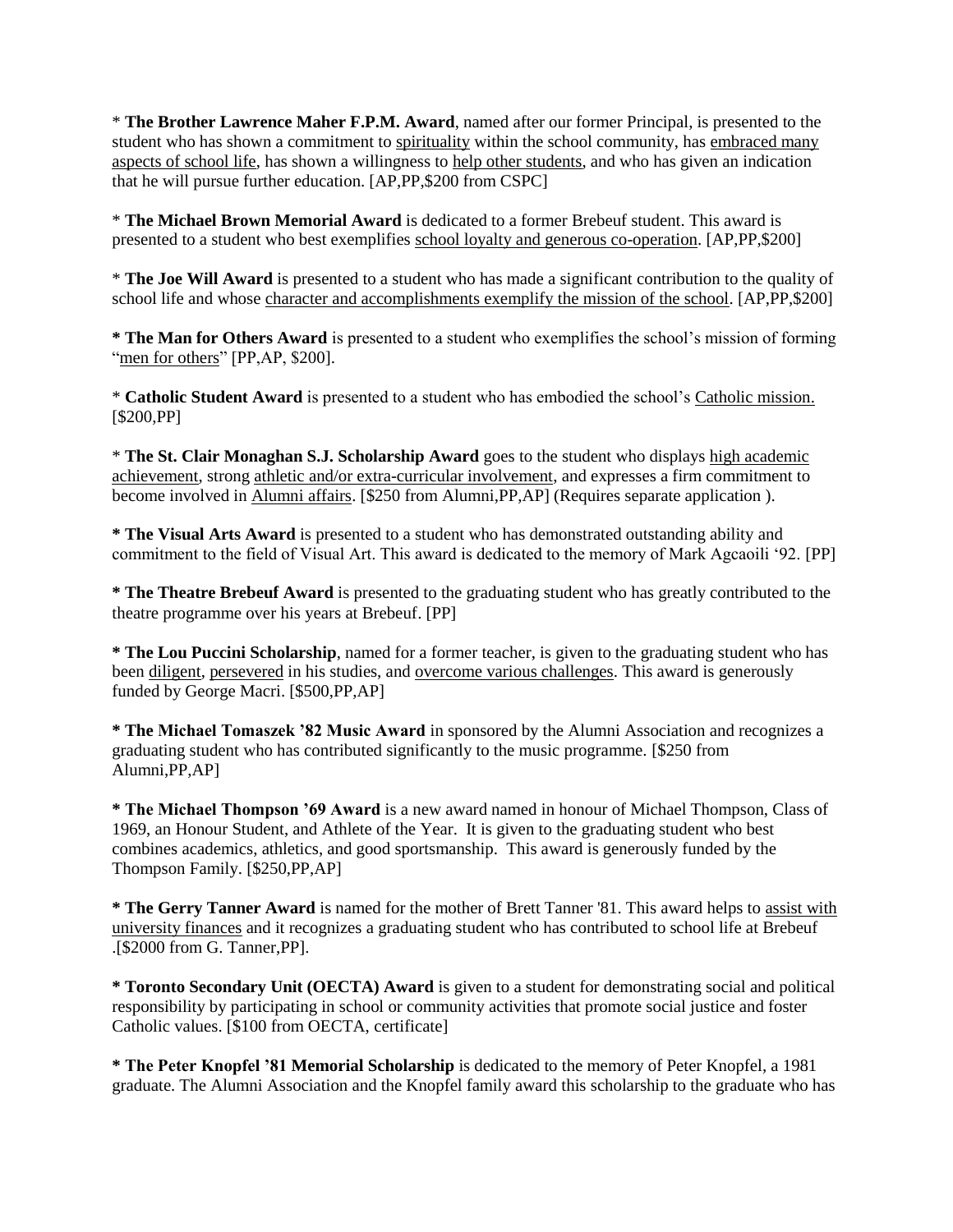\* **The Brother Lawrence Maher F.P.M. Award**, named after our former Principal, is presented to the student who has shown a commitment to spirituality within the school community, has embraced many aspects of school life, has shown a willingness to help other students, and who has given an indication that he will pursue further education. [AP,PP,\$200 from CSPC]

\* **The Michael Brown Memorial Award** is dedicated to a former Brebeuf student. This award is presented to a student who best exemplifies school loyalty and generous co-operation. [AP,PP,\$200]

\* **The Joe Will Award** is presented to a student who has made a significant contribution to the quality of school life and whose character and accomplishments exemplify the mission of the school. [AP,PP,\$200]

**\* The Man for Others Award** is presented to a student who exemplifies the school's mission of forming "men for others" [PP,AP, \$200].

\* **Catholic Student Award** is presented to a student who has embodied the school's Catholic mission. [\$200,PP]

\* **The St. Clair Monaghan S.J. Scholarship Award** goes to the student who displays high academic achievement, strong athletic and/or extra-curricular involvement, and expresses a firm commitment to become involved in Alumni affairs. [\$250 from Alumni, PP, AP] (Requires separate application).

**\* The Visual Arts Award** is presented to a student who has demonstrated outstanding ability and commitment to the field of Visual Art. This award is dedicated to the memory of Mark Agcaoili '92. [PP]

**\* The Theatre Brebeuf Award** is presented to the graduating student who has greatly contributed to the theatre programme over his years at Brebeuf. [PP]

**\* The Lou Puccini Scholarship**, named for a former teacher, is given to the graduating student who has been diligent, persevered in his studies, and overcome various challenges. This award is generously funded by George Macri. [\$500,PP,AP]

**\* The Michael Tomaszek '82 Music Award** in sponsored by the Alumni Association and recognizes a graduating student who has contributed significantly to the music programme. [\$250 from Alumni,PP,AP]

**\* The Michael Thompson '69 Award** is a new award named in honour of Michael Thompson, Class of 1969, an Honour Student, and Athlete of the Year. It is given to the graduating student who best combines academics, athletics, and good sportsmanship. This award is generously funded by the Thompson Family. [\$250,PP,AP]

**\* The Gerry Tanner Award** is named for the mother of Brett Tanner '81. This award helps to assist with university finances and it recognizes a graduating student who has contributed to school life at Brebeuf .[\$2000 from G. Tanner,PP].

**\* Toronto Secondary Unit (OECTA) Award** is given to a student for demonstrating social and political responsibility by participating in school or community activities that promote social justice and foster Catholic values. [\$100 from OECTA, certificate]

**\* The Peter Knopfel '81 Memorial Scholarship** is dedicated to the memory of Peter Knopfel, a 1981 graduate. The Alumni Association and the Knopfel family award this scholarship to the graduate who has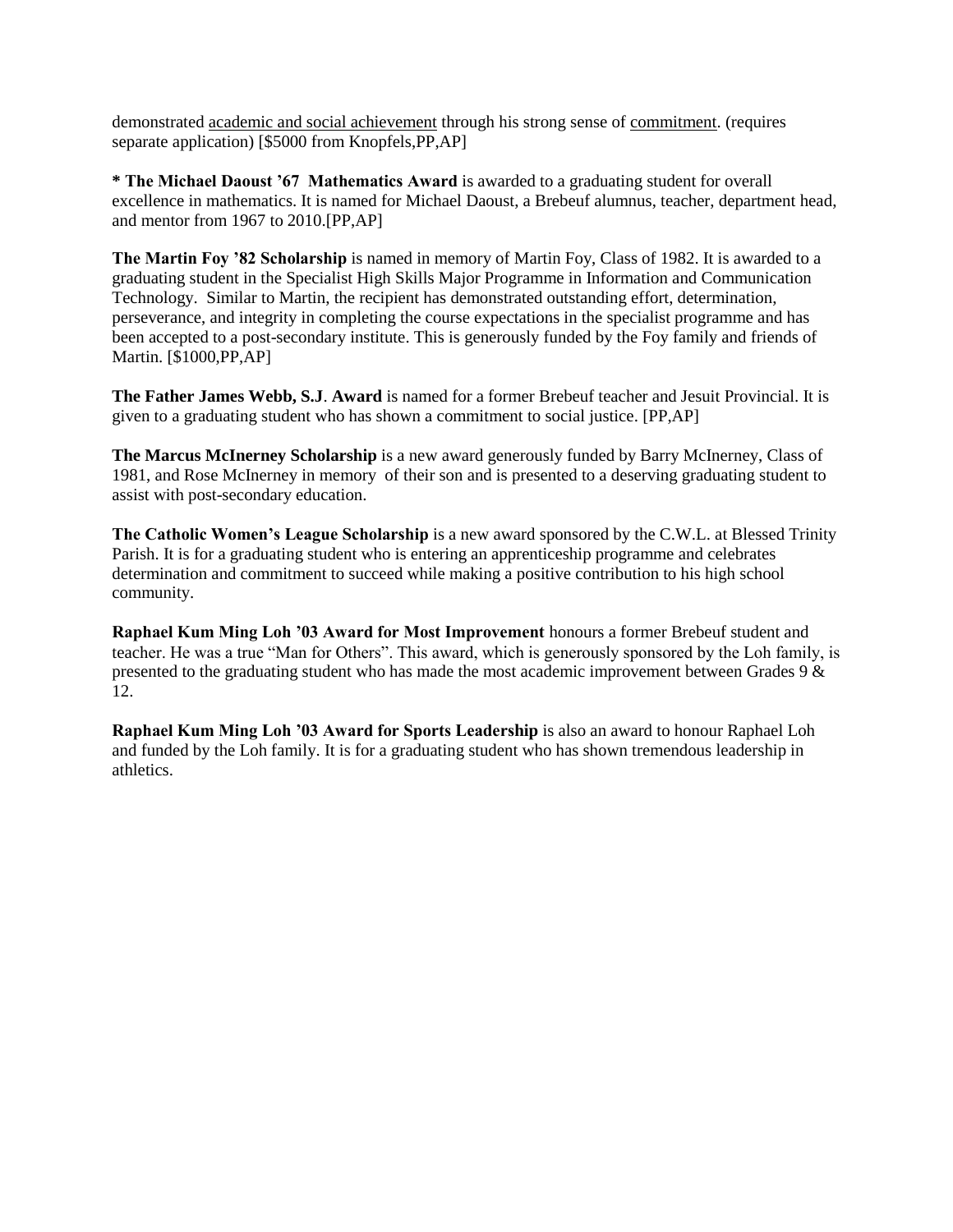demonstrated academic and social achievement through his strong sense of commitment. (requires separate application) [\$5000 from Knopfels,PP,AP]

**\* The Michael Daoust '67 Mathematics Award** is awarded to a graduating student for overall excellence in mathematics. It is named for Michael Daoust, a Brebeuf alumnus, teacher, department head, and mentor from 1967 to 2010.[PP,AP]

**The Martin Foy '82 Scholarship** is named in memory of Martin Foy, Class of 1982. It is awarded to a graduating student in the Specialist High Skills Major Programme in Information and Communication Technology. Similar to Martin, the recipient has demonstrated outstanding effort, determination, perseverance, and integrity in completing the course expectations in the specialist programme and has been accepted to a post-secondary institute. This is generously funded by the Foy family and friends of Martin. [\$1000,PP,AP]

**The Father James Webb, S.J**. **Award** is named for a former Brebeuf teacher and Jesuit Provincial. It is given to a graduating student who has shown a commitment to social justice. [PP,AP]

**The Marcus McInerney Scholarship** is a new award generously funded by Barry McInerney, Class of 1981, and Rose McInerney in memory of their son and is presented to a deserving graduating student to assist with post-secondary education.

**The Catholic Women's League Scholarship** is a new award sponsored by the C.W.L. at Blessed Trinity Parish. It is for a graduating student who is entering an apprenticeship programme and celebrates determination and commitment to succeed while making a positive contribution to his high school community.

**Raphael Kum Ming Loh '03 Award for Most Improvement** honours a former Brebeuf student and teacher. He was a true "Man for Others". This award, which is generously sponsored by the Loh family, is presented to the graduating student who has made the most academic improvement between Grades 9 & 12.

**Raphael Kum Ming Loh '03 Award for Sports Leadership** is also an award to honour Raphael Loh and funded by the Loh family. It is for a graduating student who has shown tremendous leadership in athletics.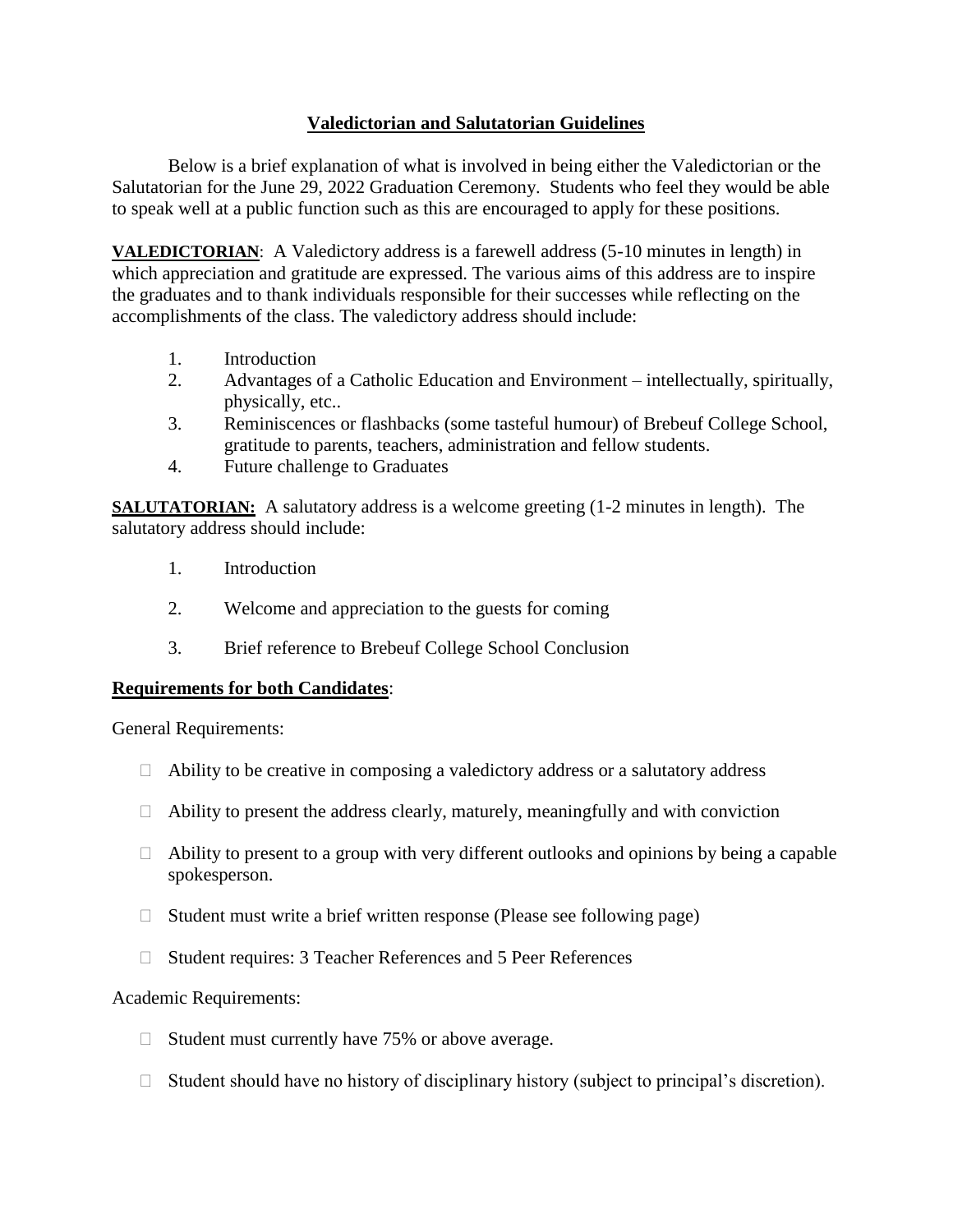#### **Valedictorian and Salutatorian Guidelines**

Below is a brief explanation of what is involved in being either the Valedictorian or the Salutatorian for the June 29, 2022 Graduation Ceremony. Students who feel they would be able to speak well at a public function such as this are encouraged to apply for these positions.

**VALEDICTORIAN**: A Valedictory address is a farewell address (5-10 minutes in length) in which appreciation and gratitude are expressed. The various aims of this address are to inspire the graduates and to thank individuals responsible for their successes while reflecting on the accomplishments of the class. The valedictory address should include:

- 1. Introduction
- 2. Advantages of a Catholic Education and Environment intellectually, spiritually, physically, etc..
- 3. Reminiscences or flashbacks (some tasteful humour) of Brebeuf College School, gratitude to parents, teachers, administration and fellow students.
- 4. Future challenge to Graduates

**SALUTATORIAN:** A salutatory address is a welcome greeting (1-2 minutes in length). The salutatory address should include:

- 1. Introduction
- 2. Welcome and appreciation to the guests for coming
- 3. Brief reference to Brebeuf College School Conclusion

#### **Requirements for both Candidates**:

General Requirements:

- $\Box$  Ability to be creative in composing a valedictory address or a salutatory address
- $\Box$  Ability to present the address clearly, maturely, meaningfully and with conviction
- $\Box$  Ability to present to a group with very different outlooks and opinions by being a capable spokesperson.
- $\Box$  Student must write a brief written response (Please see following page)
- □ Student requires: 3 Teacher References and 5 Peer References

#### Academic Requirements:

- $\Box$  Student must currently have 75% or above average.
- $\Box$  Student should have no history of disciplinary history (subject to principal's discretion).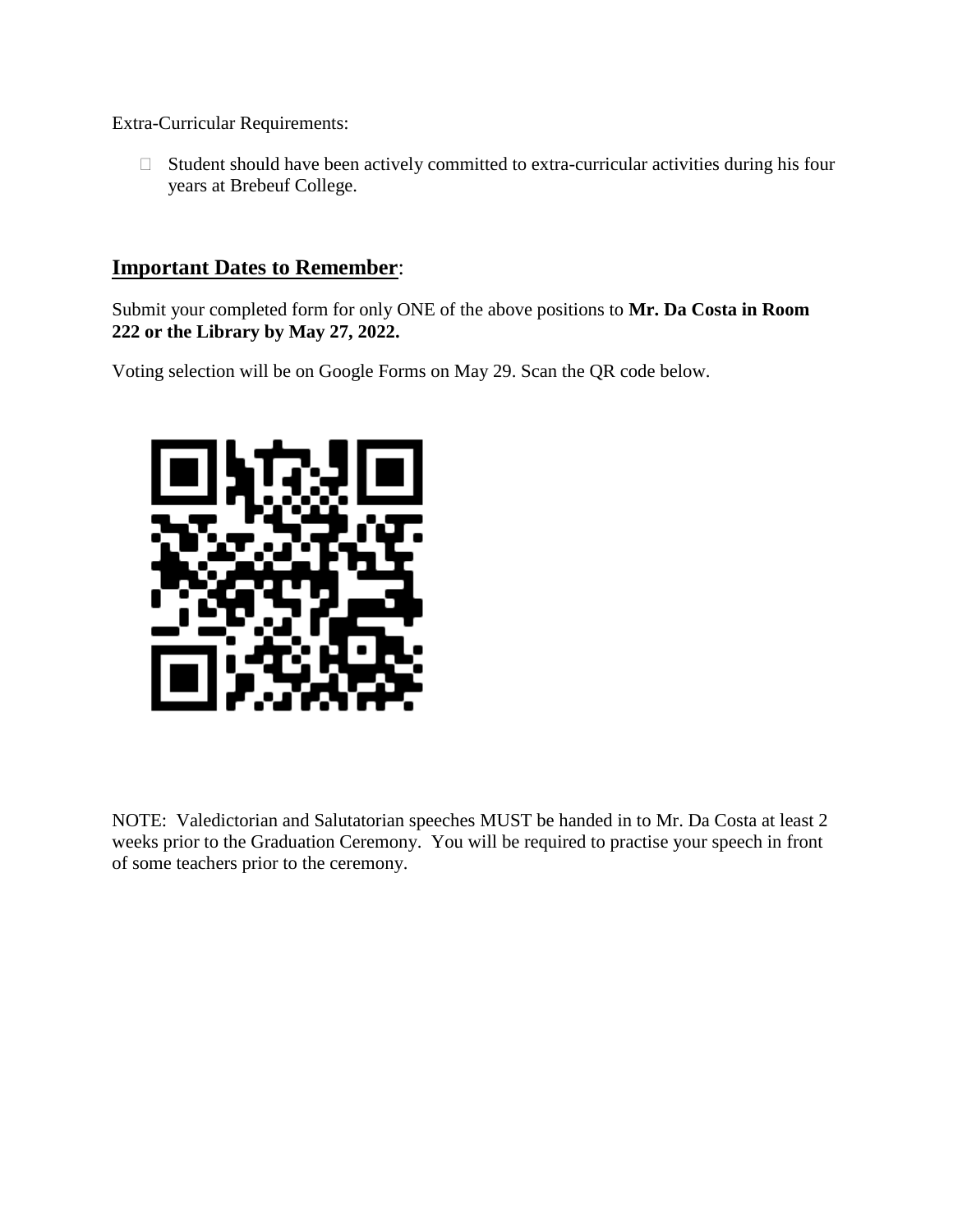Extra-Curricular Requirements:

 $\Box$  Student should have been actively committed to extra-curricular activities during his four years at Brebeuf College.

#### **Important Dates to Remember**:

Submit your completed form for only ONE of the above positions to **Mr. Da Costa in Room 222 or the Library by May 27, 2022.**

Voting selection will be on Google Forms on May 29. Scan the QR code below.



NOTE: Valedictorian and Salutatorian speeches MUST be handed in to Mr. Da Costa at least 2 weeks prior to the Graduation Ceremony. You will be required to practise your speech in front of some teachers prior to the ceremony.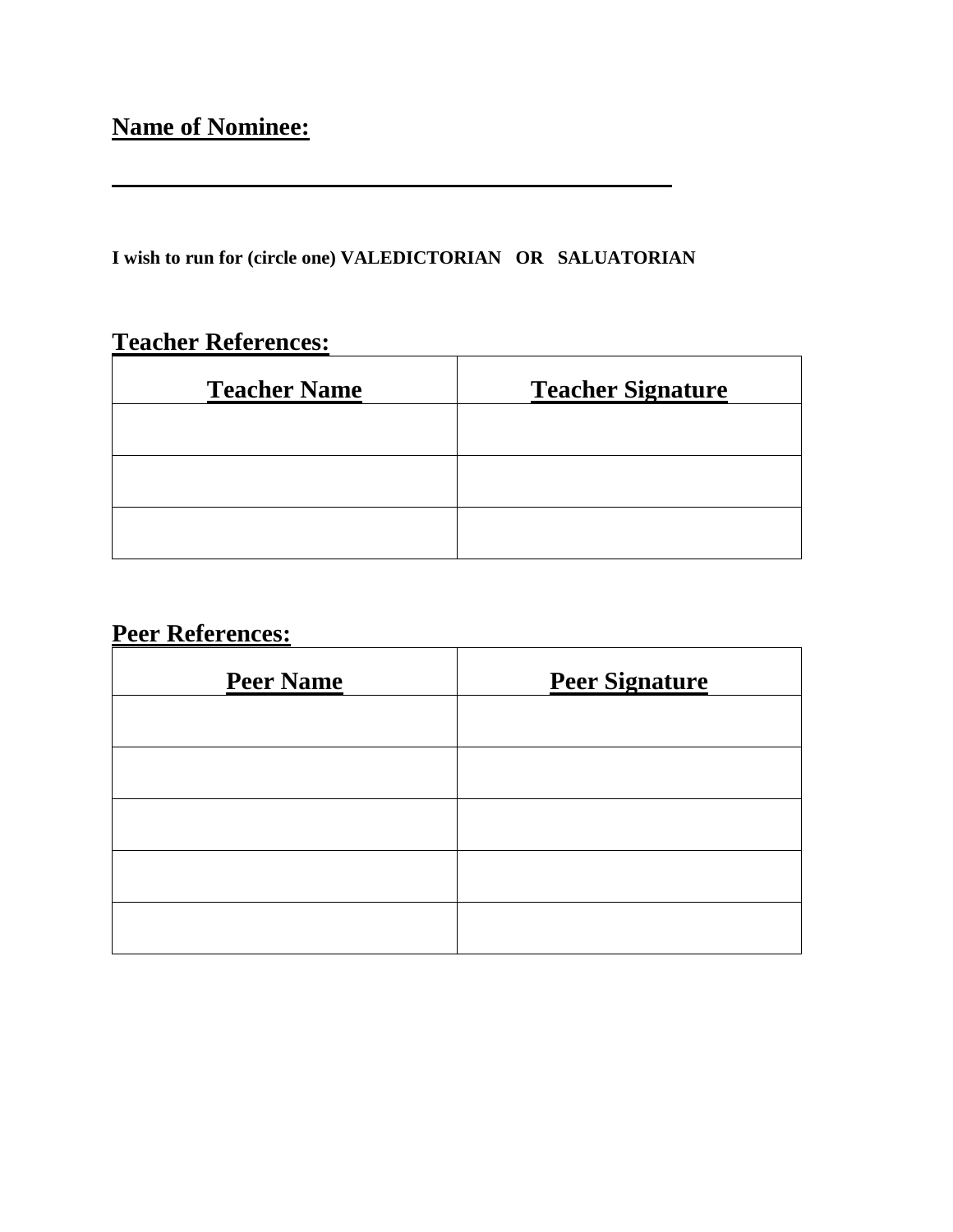## **Name of Nominee:**

**I wish to run for (circle one) VALEDICTORIAN OR SALUATORIAN**

## **Teacher References:**

| <b>Teacher Name</b> | <b>Teacher Signature</b> |
|---------------------|--------------------------|
|                     |                          |
|                     |                          |
|                     |                          |

### **Peer References:**

| <b>Peer Name</b> | <b>Peer Signature</b> |
|------------------|-----------------------|
|                  |                       |
|                  |                       |
|                  |                       |
|                  |                       |
|                  |                       |